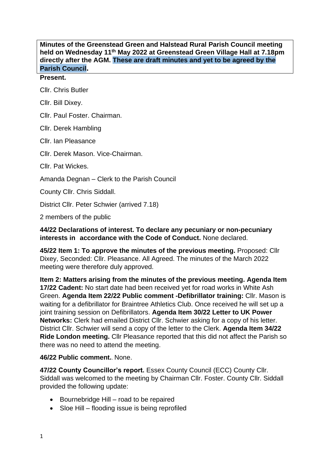**Minutes of the Greenstead Green and Halstead Rural Parish Council meeting held on Wednesday 11th May 2022 at Greenstead Green Village Hall at 7.18pm directly after the AGM. These are draft minutes and yet to be agreed by the Parish Council.**

## **Present.**

Cllr. Chris Butler

Cllr. Bill Dixey.

Cllr. Paul Foster. Chairman.

Cllr. Derek Hambling

Cllr. Ian Pleasance

Cllr. Derek Mason. Vice-Chairman.

Cllr. Pat Wickes.

Amanda Degnan – Clerk to the Parish Council

County Cllr. Chris Siddall.

District Cllr. Peter Schwier (arrived 7.18)

2 members of the public

**44/22 Declarations of interest. To declare any pecuniary or non-pecuniary interests in accordance with the Code of Conduct.** None declared.

**45/22 Item 1: To approve the minutes of the previous meeting.** Proposed: Cllr Dixey, Seconded: Cllr. Pleasance. All Agreed. The minutes of the March 2022 meeting were therefore duly approved.

**Item 2: Matters arising from the minutes of the previous meeting. Agenda Item 17/22 Cadent:** No start date had been received yet for road works in White Ash Green. **Agenda Item 22/22 Public comment -Defibrillator training:** Cllr. Mason is waiting for a defibrillator for Braintree Athletics Club. Once received he will set up a joint training session on Defibrillators. **Agenda Item 30/22 Letter to UK Power Networks:** Clerk had emailed District Cllr. Schwier asking for a copy of his letter. District Cllr. Schwier will send a copy of the letter to the Clerk. **Agenda Item 34/22 Ride London meeting.** Cllr Pleasance reported that this did not affect the Parish so there was no need to attend the meeting.

## **46/22 Public comment.**. None.

**47/22 County Councillor's report.** Essex County Council (ECC) County Cllr. Siddall was welcomed to the meeting by Chairman Cllr. Foster. County Cllr. Siddall provided the following update:

- Bournebridge Hill road to be repaired
- Sloe Hill flooding issue is being reprofiled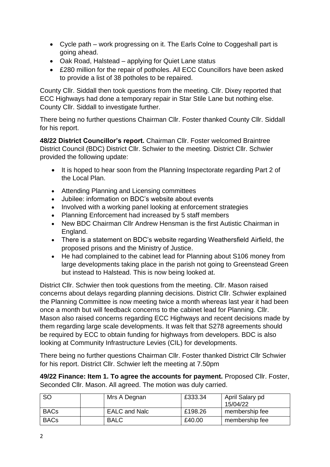- Cycle path work progressing on it. The Earls Colne to Coggeshall part is going ahead.
- Oak Road, Halstead applying for Quiet Lane status
- £280 million for the repair of potholes. All ECC Councillors have been asked to provide a list of 38 potholes to be repaired.

County Cllr. Siddall then took questions from the meeting. Cllr. Dixey reported that ECC Highways had done a temporary repair in Star Stile Lane but nothing else. County Cllr. Siddall to investigate further.

There being no further questions Chairman Cllr. Foster thanked County Cllr. Siddall for his report.

**48/22 District Councillor's report.** Chairman Cllr. Foster welcomed Braintree District Council (BDC) District Cllr. Schwier to the meeting. District Cllr. Schwier provided the following update:

- It is hoped to hear soon from the Planning Inspectorate regarding Part 2 of the Local Plan.
- Attending Planning and Licensing committees
- Jubilee: information on BDC's website about events
- Involved with a working panel looking at enforcement strategies
- Planning Enforcement had increased by 5 staff members
- New BDC Chairman Cllr Andrew Hensman is the first Autistic Chairman in England.
- There is a statement on BDC's website regarding Weathersfield Airfield, the proposed prisons and the Ministry of Justice.
- He had complained to the cabinet lead for Planning about S106 money from large developments taking place in the parish not going to Greenstead Green but instead to Halstead. This is now being looked at.

District Cllr. Schwier then took questions from the meeting. Cllr. Mason raised concerns about delays regarding planning decisions. District Cllr. Schwier explained the Planning Committee is now meeting twice a month whereas last year it had been once a month but will feedback concerns to the cabinet lead for Planning. Cllr. Mason also raised concerns regarding ECC Highways and recent decisions made by them regarding large scale developments. It was felt that S278 agreements should be required by ECC to obtain funding for highways from developers. BDC is also looking at Community Infrastructure Levies (CIL) for developments.

There being no further questions Chairman Cllr. Foster thanked District Cllr Schwier for his report. District Cllr. Schwier left the meeting at 7.50pm

**49/22 Finance: Item 1. To agree the accounts for payment.** Proposed Cllr. Foster, Seconded Cllr. Mason. All agreed. The motion was duly carried.

| <sub>SO</sub> | Mrs A Degnan         | £333.34 | April Salary pd<br>15/04/22 |
|---------------|----------------------|---------|-----------------------------|
| <b>BACs</b>   | <b>EALC and Nalc</b> | £198.26 | membership fee              |
| <b>BACs</b>   | <b>BALC</b>          | £40.00  | membership fee              |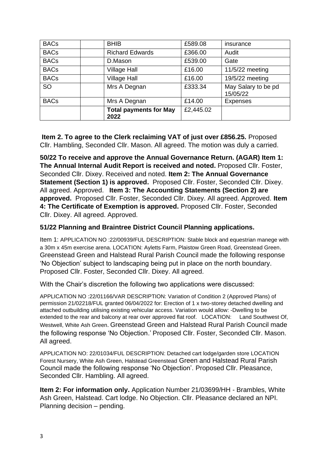| <b>BACs</b> | <b>BHIB</b>                           | £589.08   | insurance                       |
|-------------|---------------------------------------|-----------|---------------------------------|
| <b>BACs</b> | <b>Richard Edwards</b>                | £366.00   | Audit                           |
| <b>BACs</b> | D.Mason                               | £539.00   | Gate                            |
| <b>BACs</b> | <b>Village Hall</b>                   | £16.00    | $11/5/22$ meeting               |
| <b>BACs</b> | <b>Village Hall</b>                   | £16.00    | 19/5/22 meeting                 |
| <b>SO</b>   | Mrs A Degnan                          | £333.34   | May Salary to be pd<br>15/05/22 |
| <b>BACs</b> | Mrs A Degnan                          | £14.00    | <b>Expenses</b>                 |
|             | <b>Total payments for May</b><br>2022 | £2,445.02 |                                 |

**Item 2. To agree to the Clerk reclaiming VAT of just over £856.25.** Proposed Cllr. Hambling, Seconded Cllr. Mason. All agreed. The motion was duly a carried.

**50/22 To receive and approve the Annual Governance Return. (AGAR) Item 1: The Annual Internal Audit Report is received and noted.** Proposed Cllr. Foster, Seconded Cllr. Dixey. Received and noted. **Item 2: The Annual Governance Statement (Section 1) is approved.** Proposed Cllr. Foster, Seconded Cllr. Dixey. All agreed. Approved. **Item 3: The Accounting Statements (Section 2) are approved.** Proposed Cllr. Foster, Seconded Cllr. Dixey. All agreed. Approved. **Item 4: The Certificate of Exemption is approved.** Proposed Cllr. Foster, Seconded Cllr. Dixey. All agreed. Approved.

# **51/22 Planning and Braintree District Council Planning applications.**

Item 1: APPLICATION NO :22/00939/FUL DESCRIPTION: Stable block and equestrian manege with a 30m x 45m exercise arena. LOCATION: Ayletts Farm, Plaistow Green Road, Greenstead Green. Greenstead Green and Halstead Rural Parish Council made the following response 'No Objection' subject to landscaping being put in place on the north boundary. Proposed Cllr. Foster, Seconded Cllr. Dixey. All agreed.

With the Chair's discretion the following two applications were discussed:

APPLICATION NO :22/01166/VAR DESCRIPTION: Variation of Condition 2 (Approved Plans) of permission 21/02218/FUL granted 06/04/2022 for: Erection of 1 x two-storey detached dwelling and attached outbuilding utilising existing vehicular access. Variation would allow: -Dwelling to be extended to the rear and balcony at rear over approved flat roof. LOCATION: Land Southwest Of, Westwell, White Ash Green. Greenstead Green and Halstead Rural Parish Council made the following response 'No Objection.' Proposed Cllr. Foster, Seconded Cllr. Mason. All agreed.

APPLICATION NO: 22/01034/FUL DESCRIPTION: Detached cart lodge/garden store LOCATION Forest Nursery, White Ash Green, Halstead Greenstead Green and Halstead Rural Parish Council made the following response 'No Objection'. Proposed Cllr. Pleasance, Seconded Cllr. Hambling. All agreed.

**Item 2: For information only.** Application Number 21/03699/HH - Brambles, White Ash Green, Halstead. Cart lodge. No Objection. Cllr. Pleasance declared an NPI. Planning decision – pending.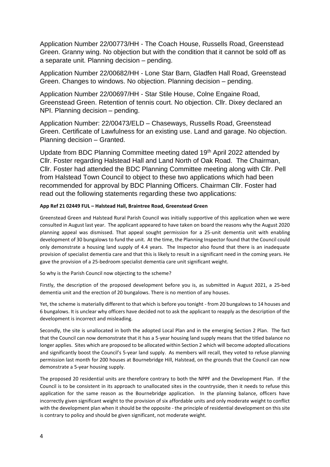Application Number 22/00773/HH - The Coach House, Russells Road, Greenstead Green. Granny wing. No objection but with the condition that it cannot be sold off as a separate unit. Planning decision – pending.

Application Number 22/00682/HH - Lone Star Barn, Gladfen Hall Road, Greenstead Green. Changes to windows. No objection. Planning decision – pending.

Application Number 22/00697/HH - Star Stile House, Colne Engaine Road, Greenstead Green. Retention of tennis court. No objection. Cllr. Dixey declared an NPI. Planning decision – pending.

Application Number: 22/00473/ELD – Chaseways, Russells Road, Greenstead Green. Certificate of Lawfulness for an existing use. Land and garage. No objection. Planning decision – Granted.

Update from BDC Planning Committee meeting dated 19<sup>th</sup> April 2022 attended by Cllr. Foster regarding Halstead Hall and Land North of Oak Road. The Chairman, Cllr. Foster had attended the BDC Planning Committee meeting along with Cllr. Pell from Halstead Town Council to object to these two applications which had been recommended for approval by BDC Planning Officers. Chairman Cllr. Foster had read out the following statements regarding these two applications:

### **App Ref 21 02449 FUL – Halstead Hall, Braintree Road, Greenstead Green**

Greenstead Green and Halstead Rural Parish Council was initially supportive of this application when we were consulted in August last year. The applicant appeared to have taken on board the reasons why the August 2020 planning appeal was dismissed. That appeal sought permission for a 25-unit dementia unit with enabling development of 30 bungalows to fund the unit. At the time, the Planning Inspector found that the Council could only demonstrate a housing land supply of 4.4 years. The Inspector also found that there is an inadequate provision of specialist dementia care and that this is likely to result in a significant need in the coming years. He gave the provision of a 25-bedroom specialist dementia care unit significant weight.

So why is the Parish Council now objecting to the scheme?

Firstly, the description of the proposed development before you is, as submitted in August 2021, a 25-bed dementia unit and the erection of 20 bungalows. There is no mention of any houses.

Yet, the scheme is materially different to that which is before you tonight - from 20 bungalows to 14 houses and 6 bungalows. It is unclear why officers have decided not to ask the applicant to reapply as the description of the development is incorrect and misleading.

Secondly, the site is unallocated in both the adopted Local Plan and in the emerging Section 2 Plan. The fact that the Council can now demonstrate that it has a 5-year housing land supply means that the titled balance no longer applies. Sites which are proposed to be allocated within Section 2 which will become adopted allocations and significantly boost the Council's 5-year land supply. As members will recall, they voted to refuse planning permission last month for 200 houses at Bournebridge Hill, Halstead, on the grounds that the Council can now demonstrate a 5-year housing supply.

The proposed 20 residential units are therefore contrary to both the NPPF and the Development Plan. If the Council is to be consistent in its approach to unallocated sites in the countryside, then it needs to refuse this application for the same reason as the Bournebridge application. In the planning balance, officers have incorrectly given significant weight to the provision of six affordable units and only moderate weight to conflict with the development plan when it should be the opposite - the principle of residential development on this site is contrary to policy and should be given significant, not moderate weight.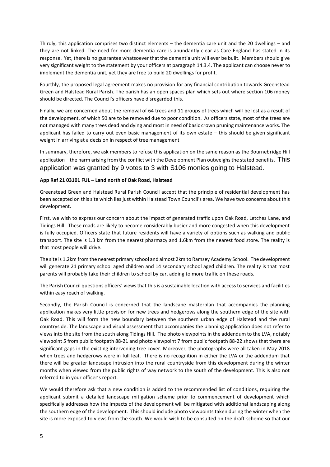Thirdly, this application comprises two distinct elements – the dementia care unit and the 20 dwellings – and they are not linked. The need for more dementia care is abundantly clear as Care England has stated in its response. Yet, there is no guarantee whatsoever that the dementia unit will ever be built. Members should give very significant weight to the statement by your officers at paragraph 14.3.4. The applicant can choose never to implement the dementia unit, yet they are free to build 20 dwellings for profit.

Fourthly, the proposed legal agreement makes no provision for any financial contribution towards Greenstead Green and Halstead Rural Parish. The parish has an open spaces plan which sets out where section 106 money should be directed. The Council's officers have disregarded this.

Finally, we are concerned about the removal of 64 trees and 11 groups of trees which will be lost as a result of the development, of which 50 are to be removed due to poor condition. As officers state, most of the trees are not managed with many trees dead and dying and most in need of basic crown pruning maintenance works. The applicant has failed to carry out even basic management of its own estate – this should be given significant weight in arriving at a decision in respect of tree management

In summary, therefore, we ask members to refuse this application on the same reason as the Bournebridge Hill application – the harm arising from the conflict with the Development Plan outweighs the stated benefits. This application was granted by 9 votes to 3 with S106 monies going to Halstead.

#### **App Ref 21 03101 FUL – Land north of Oak Road, Halstead**

Greenstead Green and Halstead Rural Parish Council accept that the principle of residential development has been accepted on this site which lies just within Halstead Town Council's area. We have two concerns about this development.

First, we wish to express our concern about the impact of generated traffic upon Oak Road, Letches Lane, and Tidings Hill. These roads are likely to become considerably busier and more congested when this development is fully occupied. Officers state that future residents will have a variety of options such as walking and public transport. The site is 1.3 km from the nearest pharmacy and 1.6km from the nearest food store. The reality is that most people will drive.

The site is 1.2km from the nearest primary school and almost 2km to Ramsey Academy School. The development will generate 21 primary school aged children and 14 secondary school aged children. The reality is that most parents will probably take their children to school by car, adding to more traffic on these roads.

The Parish Council questions officers' views that this is a sustainable location with access to services and facilities within easy reach of walking.

Secondly, the Parish Council is concerned that the landscape masterplan that accompanies the planning application makes very little provision for new trees and hedgerows along the southern edge of the site with Oak Road. This will form the new boundary between the southern urban edge of Halstead and the rural countryside. The landscape and visual assessment that accompanies the planning application does not refer to views into the site from the south along Tidings Hill. The photo viewpoints in the addendum to the LVA, notably viewpoint 5 from public footpath 88-21 and photo viewpoint 7 from public footpath 88-22 shows that there are significant gaps in the existing intervening tree cover. Moreover, the photographs were all taken in May 2018 when trees and hedgerows were in full leaf. There is no recognition in either the LVA or the addendum that there will be greater landscape intrusion into the rural countryside from this development during the winter months when viewed from the public rights of way network to the south of the development. This is also not referred to in your officer's report.

We would therefore ask that a new condition is added to the recommended list of conditions, requiring the applicant submit a detailed landscape mitigation scheme prior to commencement of development which specifically addresses how the impacts of the development will be mitigated with additional landscaping along the southern edge of the development. This should include photo viewpoints taken during the winter when the site is more exposed to views from the south. We would wish to be consulted on the draft scheme so that our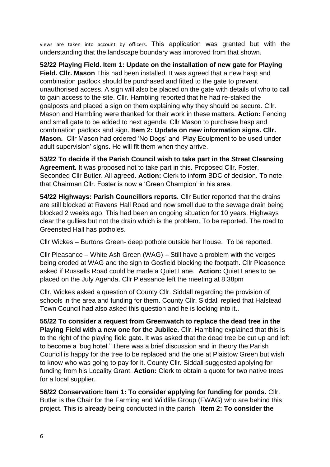views are taken into account by officers. This application was granted but with the understanding that the landscape boundary was improved from that shown.

**52/22 Playing Field. Item 1: Update on the installation of new gate for Playing Field. Cllr. Mason** This had been installed. It was agreed that a new hasp and combination padlock should be purchased and fitted to the gate to prevent unauthorised access. A sign will also be placed on the gate with details of who to call to gain access to the site. Cllr. Hambling reported that he had re-staked the goalposts and placed a sign on them explaining why they should be secure. Cllr. Mason and Hambling were thanked for their work in these matters. **Action:** Fencing and small gate to be added to next agenda. Cllr Mason to purchase hasp and combination padlock and sign. **Item 2: Update on new information signs. Cllr. Mason.** Cllr Mason had ordered 'No Dogs' and 'Play Equipment to be used under adult supervision' signs. He will fit them when they arrive.

**53/22 To decide if the Parish Council wish to take part in the Street Cleansing Agreement.** It was proposed not to take part in this. Proposed Cllr. Foster, Seconded Cllr Butler. All agreed. **Action:** Clerk to inform BDC of decision. To note that Chairman Cllr. Foster is now a 'Green Champion' in his area.

**54/22 Highways: Parish Councillors reports.** Cllr Butler reported that the drains are still blocked at Ravens Hall Road and now smell due to the sewage drain being blocked 2 weeks ago. This had been an ongoing situation for 10 years. Highways clear the gullies but not the drain which is the problem. To be reported. The road to Greensted Hall has potholes.

Cllr Wickes – Burtons Green- deep pothole outside her house. To be reported.

Cllr Pleasance – White Ash Green (WAG) – Still have a problem with the verges being eroded at WAG and the sign to Gosfield blocking the footpath. Cllr Pleasence asked if Russells Road could be made a Quiet Lane. **Action:** Quiet Lanes to be placed on the July Agenda. Cllr Pleasance left the meeting at 8.38pm

Cllr. Wickes asked a question of County Cllr. Siddall regarding the provision of schools in the area and funding for them. County Cllr. Siddall replied that Halstead Town Council had also asked this question and he is looking into it..

**55/22 To consider a request from Greenwatch to replace the dead tree in the Playing Field with a new one for the Jubilee.** Cllr. Hambling explained that this is to the right of the playing field gate. It was asked that the dead tree be cut up and left to become a 'bug hotel.' There was a brief discussion and in theory the Parish Council is happy for the tree to be replaced and the one at Plaistow Green but wish to know who was going to pay for it. County Cllr. Siddall suggested applying for funding from his Locality Grant. **Action:** Clerk to obtain a quote for two native trees for a local supplier.

**56/22 Conservation: Item 1: To consider applying for funding for ponds.** Cllr. Butler is the Chair for the Farming and Wildlife Group (FWAG) who are behind this project. This is already being conducted in the parish **Item 2: To consider the**